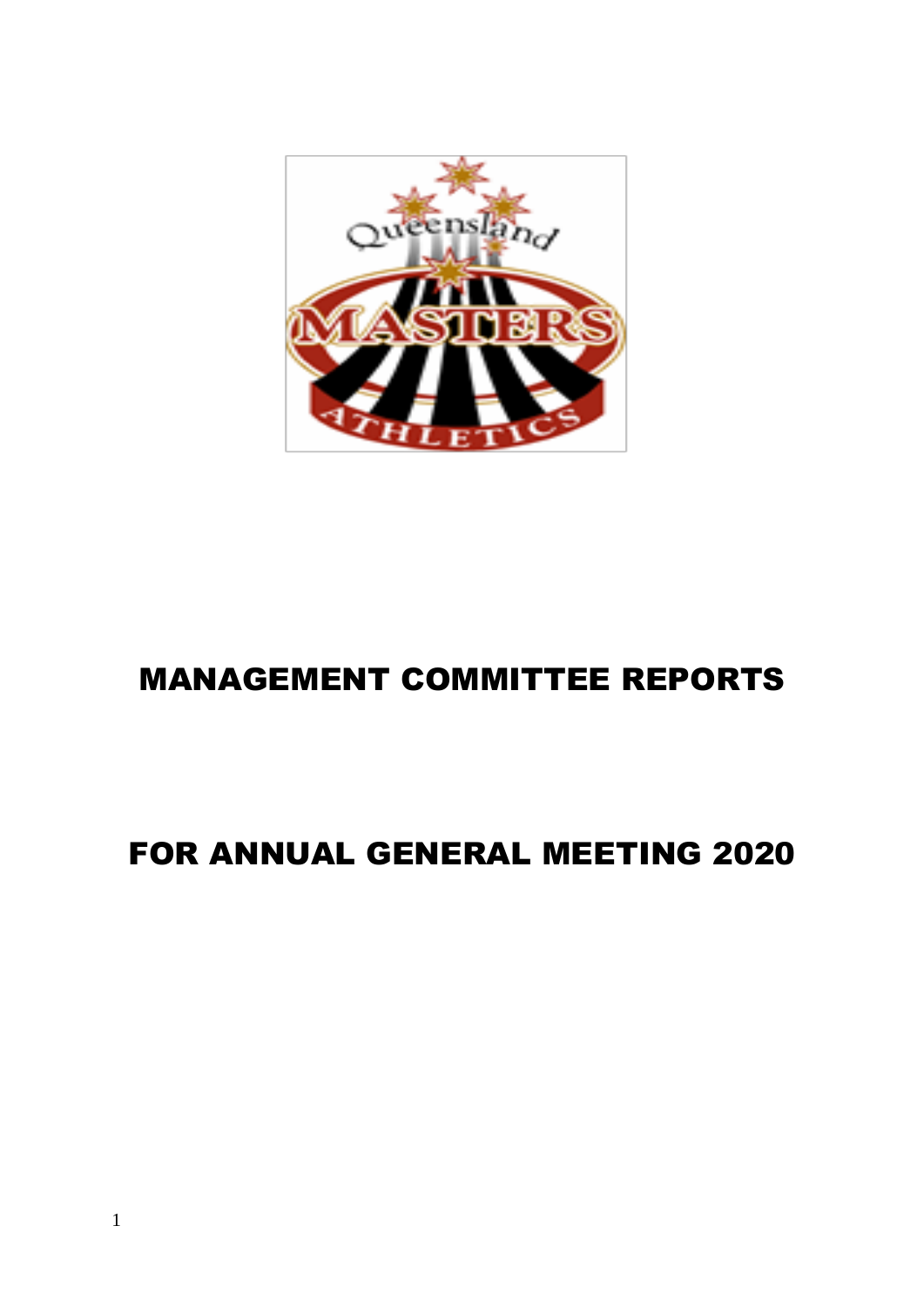

# MANAGEMENT COMMITTEE REPORTS

# FOR ANNUAL GENERAL MEETING 2020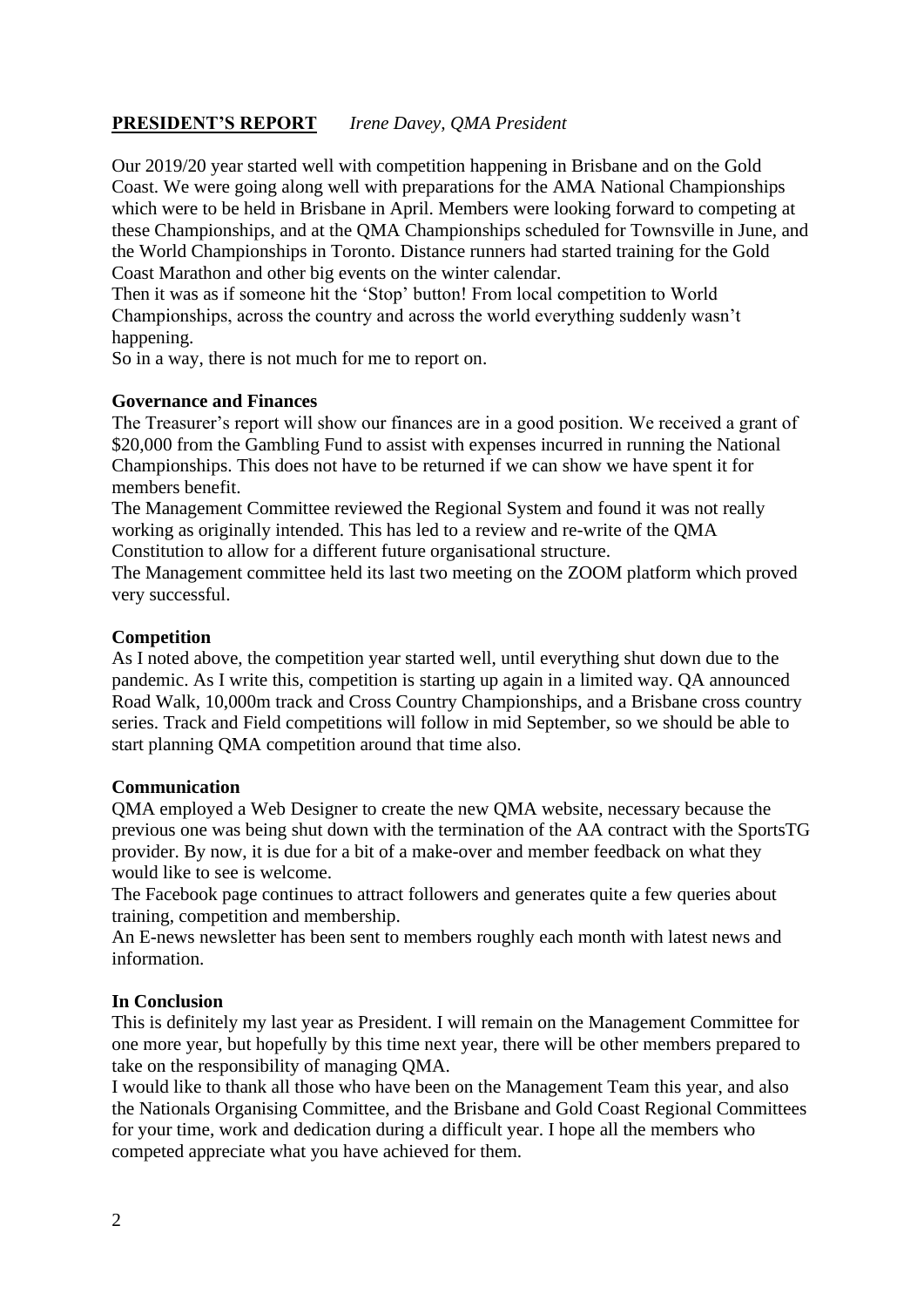## **PRESIDENT'S REPORT** *Irene Davey, QMA President*

Our 2019/20 year started well with competition happening in Brisbane and on the Gold Coast. We were going along well with preparations for the AMA National Championships which were to be held in Brisbane in April. Members were looking forward to competing at these Championships, and at the QMA Championships scheduled for Townsville in June, and the World Championships in Toronto. Distance runners had started training for the Gold Coast Marathon and other big events on the winter calendar.

Then it was as if someone hit the 'Stop' button! From local competition to World Championships, across the country and across the world everything suddenly wasn't happening.

So in a way, there is not much for me to report on.

#### **Governance and Finances**

The Treasurer's report will show our finances are in a good position. We received a grant of \$20,000 from the Gambling Fund to assist with expenses incurred in running the National Championships. This does not have to be returned if we can show we have spent it for members benefit.

The Management Committee reviewed the Regional System and found it was not really working as originally intended. This has led to a review and re-write of the QMA Constitution to allow for a different future organisational structure.

The Management committee held its last two meeting on the ZOOM platform which proved very successful.

#### **Competition**

As I noted above, the competition year started well, until everything shut down due to the pandemic. As I write this, competition is starting up again in a limited way. QA announced Road Walk, 10,000m track and Cross Country Championships, and a Brisbane cross country series. Track and Field competitions will follow in mid September, so we should be able to start planning QMA competition around that time also.

#### **Communication**

QMA employed a Web Designer to create the new QMA website, necessary because the previous one was being shut down with the termination of the AA contract with the SportsTG provider. By now, it is due for a bit of a make-over and member feedback on what they would like to see is welcome.

The Facebook page continues to attract followers and generates quite a few queries about training, competition and membership.

An E-news newsletter has been sent to members roughly each month with latest news and information.

#### **In Conclusion**

This is definitely my last year as President. I will remain on the Management Committee for one more year, but hopefully by this time next year, there will be other members prepared to take on the responsibility of managing QMA.

I would like to thank all those who have been on the Management Team this year, and also the Nationals Organising Committee, and the Brisbane and Gold Coast Regional Committees for your time, work and dedication during a difficult year. I hope all the members who competed appreciate what you have achieved for them*.*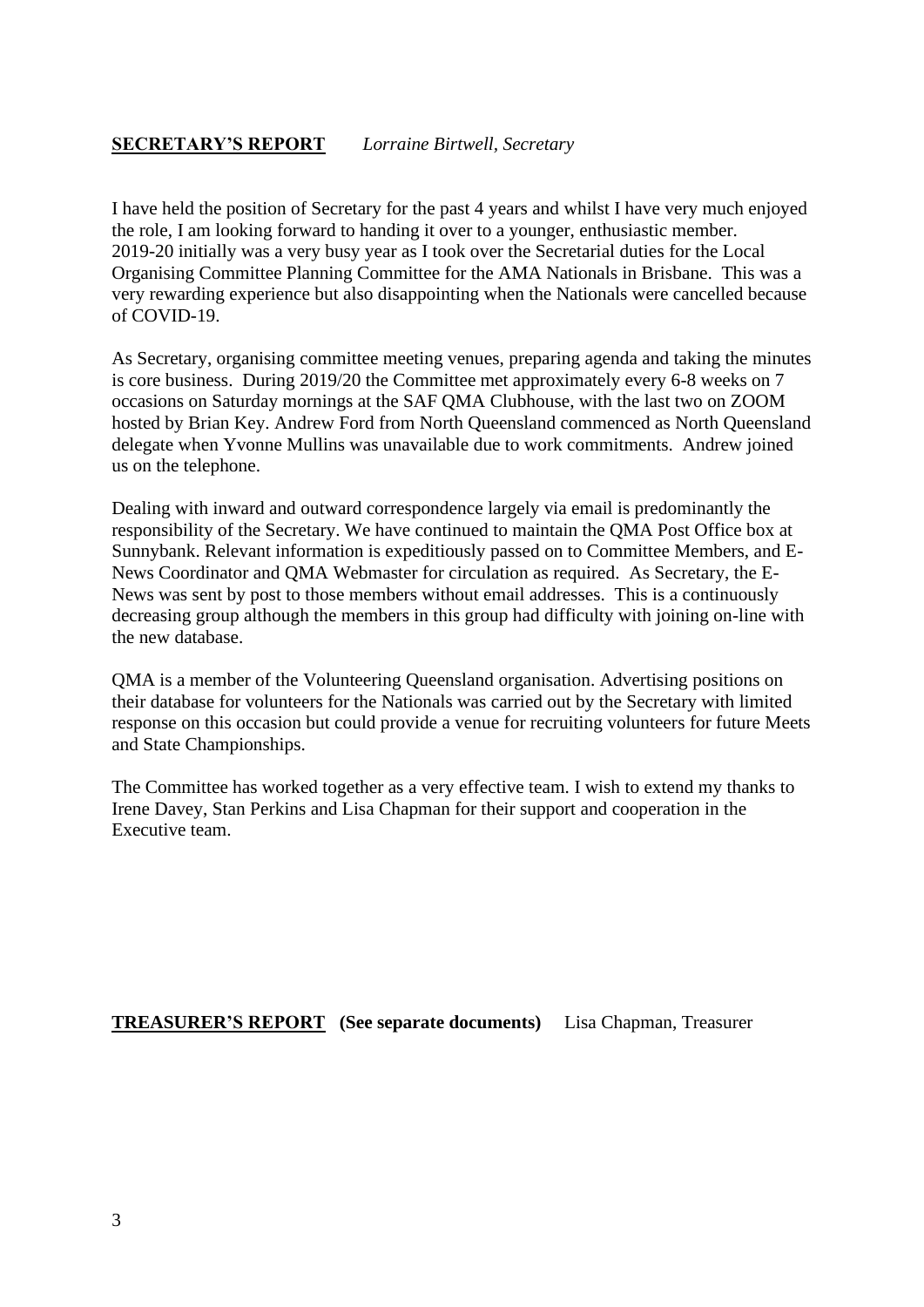## **SECRETARY'S REPORT** *Lorraine Birtwell, Secretary*

I have held the position of Secretary for the past 4 years and whilst I have very much enjoyed the role, I am looking forward to handing it over to a younger, enthusiastic member. 2019-20 initially was a very busy year as I took over the Secretarial duties for the Local Organising Committee Planning Committee for the AMA Nationals in Brisbane. This was a very rewarding experience but also disappointing when the Nationals were cancelled because of COVID-19.

As Secretary, organising committee meeting venues, preparing agenda and taking the minutes is core business. During 2019/20 the Committee met approximately every 6-8 weeks on 7 occasions on Saturday mornings at the SAF QMA Clubhouse, with the last two on ZOOM hosted by Brian Key. Andrew Ford from North Queensland commenced as North Queensland delegate when Yvonne Mullins was unavailable due to work commitments. Andrew joined us on the telephone.

Dealing with inward and outward correspondence largely via email is predominantly the responsibility of the Secretary. We have continued to maintain the QMA Post Office box at Sunnybank. Relevant information is expeditiously passed on to Committee Members, and E-News Coordinator and QMA Webmaster for circulation as required. As Secretary, the E-News was sent by post to those members without email addresses. This is a continuously decreasing group although the members in this group had difficulty with joining on-line with the new database.

QMA is a member of the Volunteering Queensland organisation. Advertising positions on their database for volunteers for the Nationals was carried out by the Secretary with limited response on this occasion but could provide a venue for recruiting volunteers for future Meets and State Championships.

The Committee has worked together as a very effective team. I wish to extend my thanks to Irene Davey, Stan Perkins and Lisa Chapman for their support and cooperation in the Executive team.

**TREASURER'S REPORT (See separate documents)** Lisa Chapman, Treasurer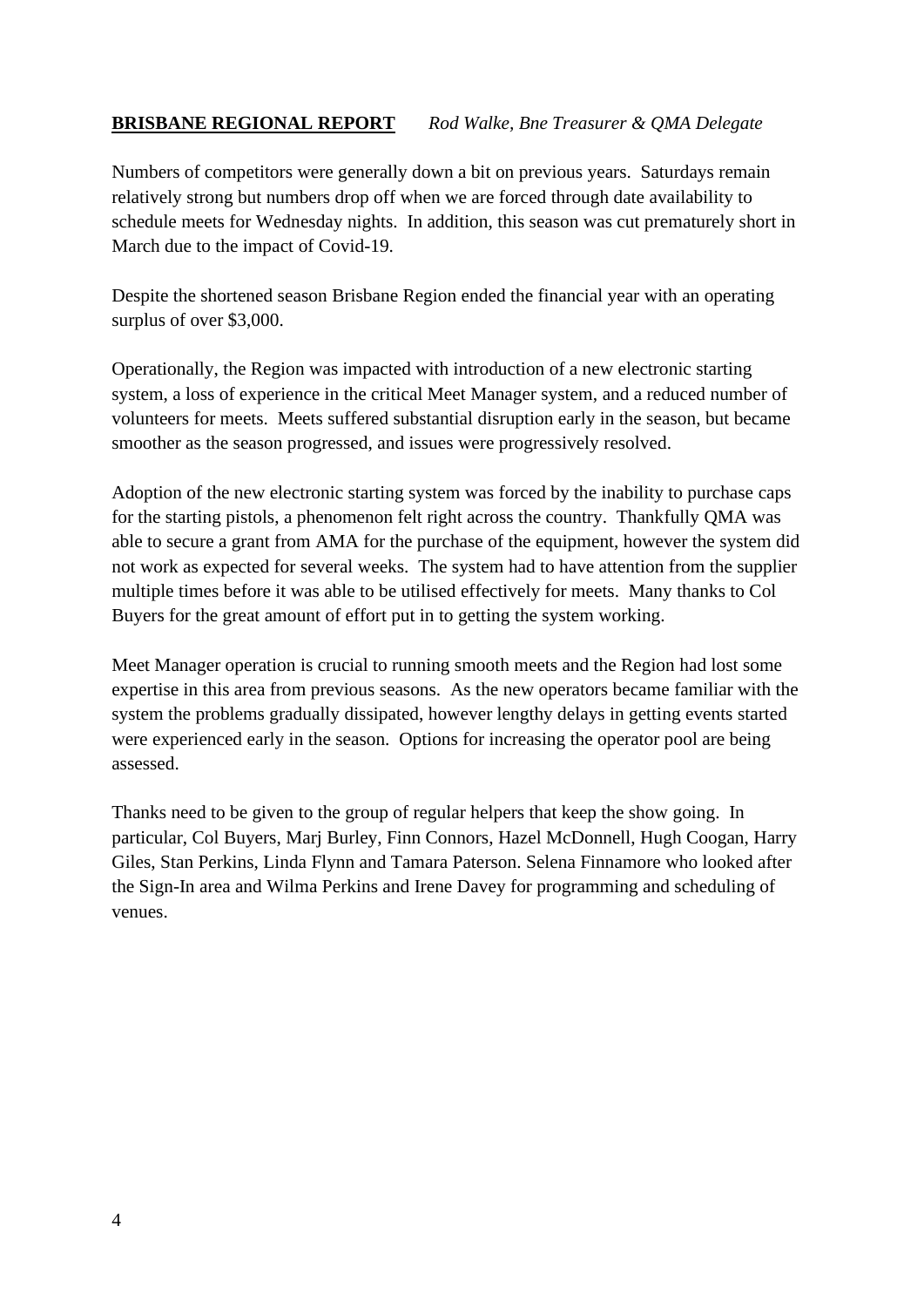# **BRISBANE REGIONAL REPORT** *Rod Walke, Bne Treasurer & QMA Delegate*

Numbers of competitors were generally down a bit on previous years. Saturdays remain relatively strong but numbers drop off when we are forced through date availability to schedule meets for Wednesday nights. In addition, this season was cut prematurely short in March due to the impact of Covid-19.

Despite the shortened season Brisbane Region ended the financial year with an operating surplus of over \$3,000.

Operationally, the Region was impacted with introduction of a new electronic starting system, a loss of experience in the critical Meet Manager system, and a reduced number of volunteers for meets. Meets suffered substantial disruption early in the season, but became smoother as the season progressed, and issues were progressively resolved.

Adoption of the new electronic starting system was forced by the inability to purchase caps for the starting pistols, a phenomenon felt right across the country. Thankfully QMA was able to secure a grant from AMA for the purchase of the equipment, however the system did not work as expected for several weeks. The system had to have attention from the supplier multiple times before it was able to be utilised effectively for meets. Many thanks to Col Buyers for the great amount of effort put in to getting the system working.

Meet Manager operation is crucial to running smooth meets and the Region had lost some expertise in this area from previous seasons. As the new operators became familiar with the system the problems gradually dissipated, however lengthy delays in getting events started were experienced early in the season. Options for increasing the operator pool are being assessed.

Thanks need to be given to the group of regular helpers that keep the show going. In particular, Col Buyers, Marj Burley, Finn Connors, Hazel McDonnell, Hugh Coogan, Harry Giles, Stan Perkins, Linda Flynn and Tamara Paterson. Selena Finnamore who looked after the Sign-In area and Wilma Perkins and Irene Davey for programming and scheduling of venues.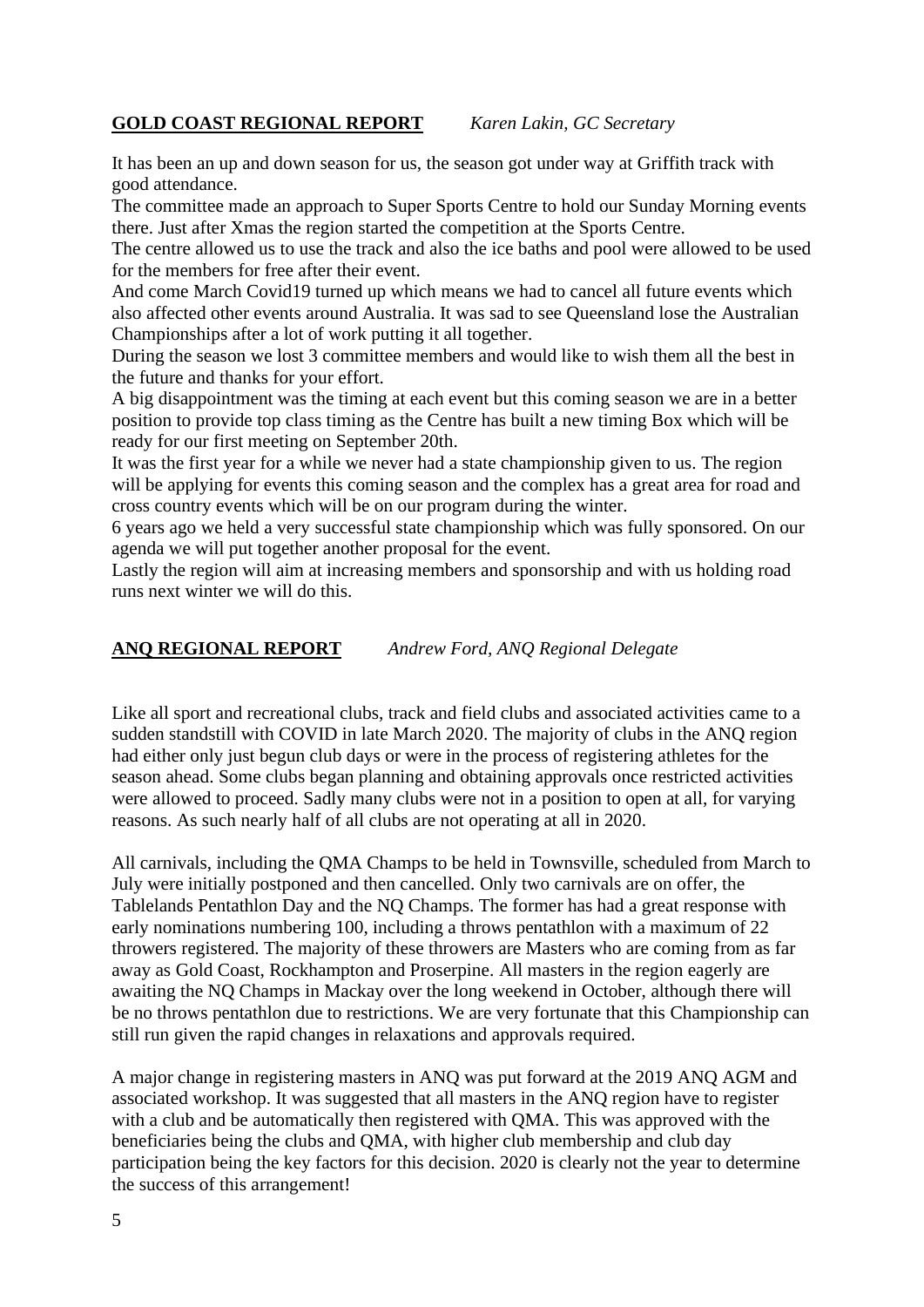## **GOLD COAST REGIONAL REPORT** *Karen Lakin, GC Secretary*

It has been an up and down season for us, the season got under way at Griffith track with good attendance.

The committee made an approach to Super Sports Centre to hold our Sunday Morning events there. Just after Xmas the region started the competition at the Sports Centre.

The centre allowed us to use the track and also the ice baths and pool were allowed to be used for the members for free after their event.

And come March Covid19 turned up which means we had to cancel all future events which also affected other events around Australia. It was sad to see Queensland lose the Australian Championships after a lot of work putting it all together.

During the season we lost 3 committee members and would like to wish them all the best in the future and thanks for your effort.

A big disappointment was the timing at each event but this coming season we are in a better position to provide top class timing as the Centre has built a new timing Box which will be ready for our first meeting on September 20th.

It was the first year for a while we never had a state championship given to us. The region will be applying for events this coming season and the complex has a great area for road and cross country events which will be on our program during the winter.

6 years ago we held a very successful state championship which was fully sponsored. On our agenda we will put together another proposal for the event.

Lastly the region will aim at increasing members and sponsorship and with us holding road runs next winter we will do this.

#### **ANQ REGIONAL REPORT** *Andrew Ford, ANQ Regional Delegate*

Like all sport and recreational clubs, track and field clubs and associated activities came to a sudden standstill with COVID in late March 2020. The majority of clubs in the ANQ region had either only just begun club days or were in the process of registering athletes for the season ahead. Some clubs began planning and obtaining approvals once restricted activities were allowed to proceed. Sadly many clubs were not in a position to open at all, for varying reasons. As such nearly half of all clubs are not operating at all in 2020.

All carnivals, including the QMA Champs to be held in Townsville, scheduled from March to July were initially postponed and then cancelled. Only two carnivals are on offer, the Tablelands Pentathlon Day and the NQ Champs. The former has had a great response with early nominations numbering 100, including a throws pentathlon with a maximum of 22 throwers registered. The majority of these throwers are Masters who are coming from as far away as Gold Coast, Rockhampton and Proserpine. All masters in the region eagerly are awaiting the NQ Champs in Mackay over the long weekend in October, although there will be no throws pentathlon due to restrictions. We are very fortunate that this Championship can still run given the rapid changes in relaxations and approvals required.

A major change in registering masters in ANQ was put forward at the 2019 ANQ AGM and associated workshop. It was suggested that all masters in the ANQ region have to register with a club and be automatically then registered with QMA. This was approved with the beneficiaries being the clubs and QMA, with higher club membership and club day participation being the key factors for this decision. 2020 is clearly not the year to determine the success of this arrangement!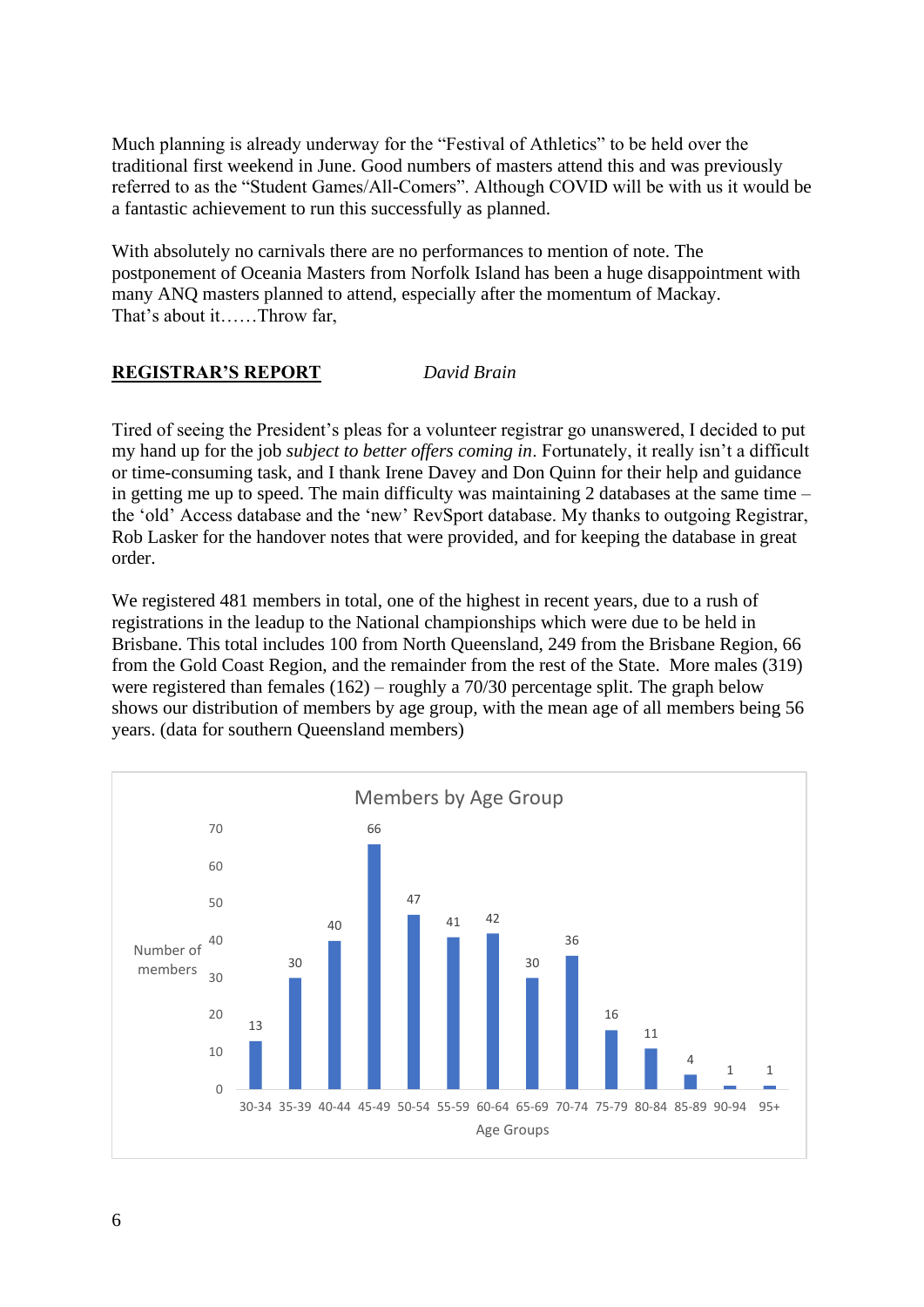Much planning is already underway for the "Festival of Athletics" to be held over the traditional first weekend in June. Good numbers of masters attend this and was previously referred to as the "Student Games/All-Comers". Although COVID will be with us it would be a fantastic achievement to run this successfully as planned.

With absolutely no carnivals there are no performances to mention of note. The postponement of Oceania Masters from Norfolk Island has been a huge disappointment with many ANQ masters planned to attend, especially after the momentum of Mackay. That's about it……Throw far,

# **REGISTRAR'S REPORT** *David Brain*

Tired of seeing the President's pleas for a volunteer registrar go unanswered, I decided to put my hand up for the job *subject to better offers coming in*. Fortunately, it really isn't a difficult or time-consuming task, and I thank Irene Davey and Don Quinn for their help and guidance in getting me up to speed. The main difficulty was maintaining 2 databases at the same time  $$ the 'old' Access database and the 'new' RevSport database. My thanks to outgoing Registrar, Rob Lasker for the handover notes that were provided, and for keeping the database in great order.

We registered 481 members in total, one of the highest in recent years, due to a rush of registrations in the leadup to the National championships which were due to be held in Brisbane. This total includes 100 from North Queensland, 249 from the Brisbane Region, 66 from the Gold Coast Region, and the remainder from the rest of the State. More males (319) were registered than females (162) – roughly a 70/30 percentage split. The graph below shows our distribution of members by age group, with the mean age of all members being 56 years. (data for southern Queensland members)

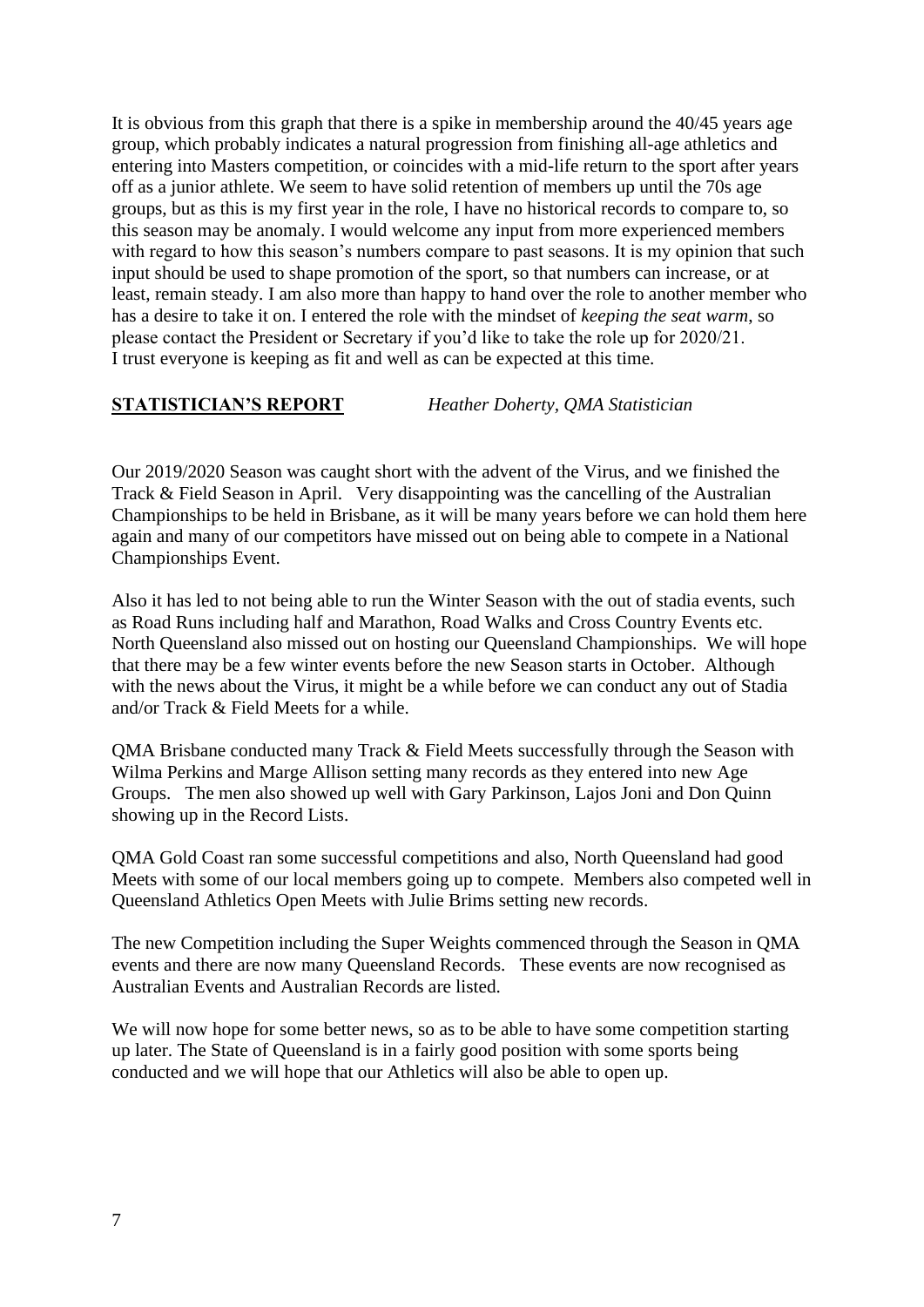It is obvious from this graph that there is a spike in membership around the 40/45 years age group, which probably indicates a natural progression from finishing all-age athletics and entering into Masters competition, or coincides with a mid-life return to the sport after years off as a junior athlete. We seem to have solid retention of members up until the 70s age groups, but as this is my first year in the role, I have no historical records to compare to, so this season may be anomaly. I would welcome any input from more experienced members with regard to how this season's numbers compare to past seasons. It is my opinion that such input should be used to shape promotion of the sport, so that numbers can increase, or at least, remain steady. I am also more than happy to hand over the role to another member who has a desire to take it on. I entered the role with the mindset of *keeping the seat warm*, so please contact the President or Secretary if you'd like to take the role up for 2020/21. I trust everyone is keeping as fit and well as can be expected at this time.

**STATISTICIAN'S REPORT** *Heather Doherty, QMA Statistician*

Our 2019/2020 Season was caught short with the advent of the Virus, and we finished the Track & Field Season in April. Very disappointing was the cancelling of the Australian Championships to be held in Brisbane, as it will be many years before we can hold them here again and many of our competitors have missed out on being able to compete in a National Championships Event.

Also it has led to not being able to run the Winter Season with the out of stadia events, such as Road Runs including half and Marathon, Road Walks and Cross Country Events etc. North Queensland also missed out on hosting our Queensland Championships. We will hope that there may be a few winter events before the new Season starts in October. Although with the news about the Virus, it might be a while before we can conduct any out of Stadia and/or Track & Field Meets for a while.

QMA Brisbane conducted many Track & Field Meets successfully through the Season with Wilma Perkins and Marge Allison setting many records as they entered into new Age Groups. The men also showed up well with Gary Parkinson, Lajos Joni and Don Quinn showing up in the Record Lists.

QMA Gold Coast ran some successful competitions and also, North Queensland had good Meets with some of our local members going up to compete. Members also competed well in Queensland Athletics Open Meets with Julie Brims setting new records.

The new Competition including the Super Weights commenced through the Season in QMA events and there are now many Queensland Records. These events are now recognised as Australian Events and Australian Records are listed.

We will now hope for some better news, so as to be able to have some competition starting up later. The State of Queensland is in a fairly good position with some sports being conducted and we will hope that our Athletics will also be able to open up.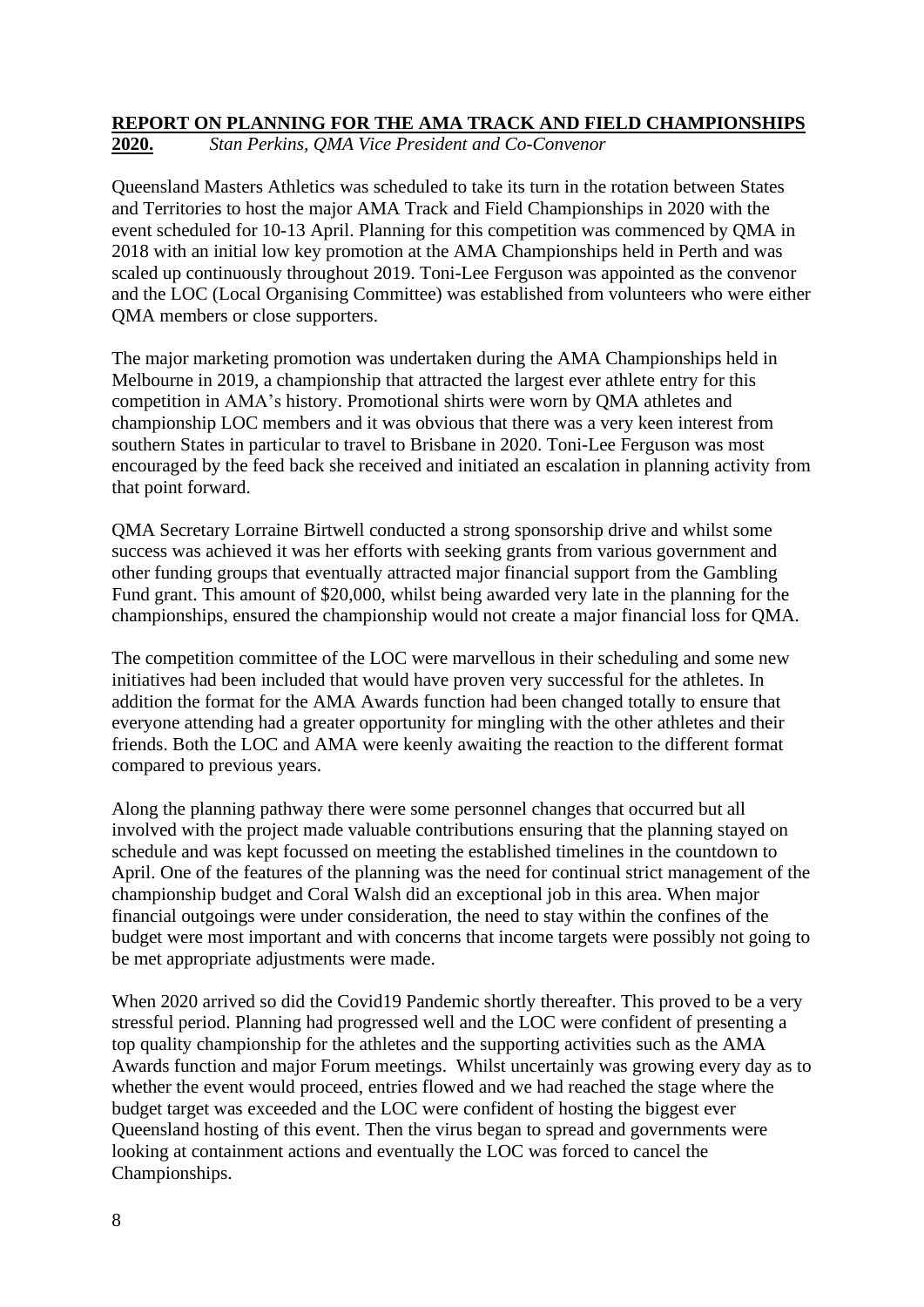# **REPORT ON PLANNING FOR THE AMA TRACK AND FIELD CHAMPIONSHIPS**

**2020.** *Stan Perkins, QMA Vice President and Co-Convenor*

Queensland Masters Athletics was scheduled to take its turn in the rotation between States and Territories to host the major AMA Track and Field Championships in 2020 with the event scheduled for 10-13 April. Planning for this competition was commenced by QMA in 2018 with an initial low key promotion at the AMA Championships held in Perth and was scaled up continuously throughout 2019. Toni-Lee Ferguson was appointed as the convenor and the LOC (Local Organising Committee) was established from volunteers who were either QMA members or close supporters.

The major marketing promotion was undertaken during the AMA Championships held in Melbourne in 2019, a championship that attracted the largest ever athlete entry for this competition in AMA's history. Promotional shirts were worn by QMA athletes and championship LOC members and it was obvious that there was a very keen interest from southern States in particular to travel to Brisbane in 2020. Toni-Lee Ferguson was most encouraged by the feed back she received and initiated an escalation in planning activity from that point forward.

QMA Secretary Lorraine Birtwell conducted a strong sponsorship drive and whilst some success was achieved it was her efforts with seeking grants from various government and other funding groups that eventually attracted major financial support from the Gambling Fund grant. This amount of \$20,000, whilst being awarded very late in the planning for the championships, ensured the championship would not create a major financial loss for QMA.

The competition committee of the LOC were marvellous in their scheduling and some new initiatives had been included that would have proven very successful for the athletes. In addition the format for the AMA Awards function had been changed totally to ensure that everyone attending had a greater opportunity for mingling with the other athletes and their friends. Both the LOC and AMA were keenly awaiting the reaction to the different format compared to previous years.

Along the planning pathway there were some personnel changes that occurred but all involved with the project made valuable contributions ensuring that the planning stayed on schedule and was kept focussed on meeting the established timelines in the countdown to April. One of the features of the planning was the need for continual strict management of the championship budget and Coral Walsh did an exceptional job in this area. When major financial outgoings were under consideration, the need to stay within the confines of the budget were most important and with concerns that income targets were possibly not going to be met appropriate adjustments were made.

When 2020 arrived so did the Covid19 Pandemic shortly thereafter. This proved to be a very stressful period. Planning had progressed well and the LOC were confident of presenting a top quality championship for the athletes and the supporting activities such as the AMA Awards function and major Forum meetings. Whilst uncertainly was growing every day as to whether the event would proceed, entries flowed and we had reached the stage where the budget target was exceeded and the LOC were confident of hosting the biggest ever Queensland hosting of this event. Then the virus began to spread and governments were looking at containment actions and eventually the LOC was forced to cancel the Championships.